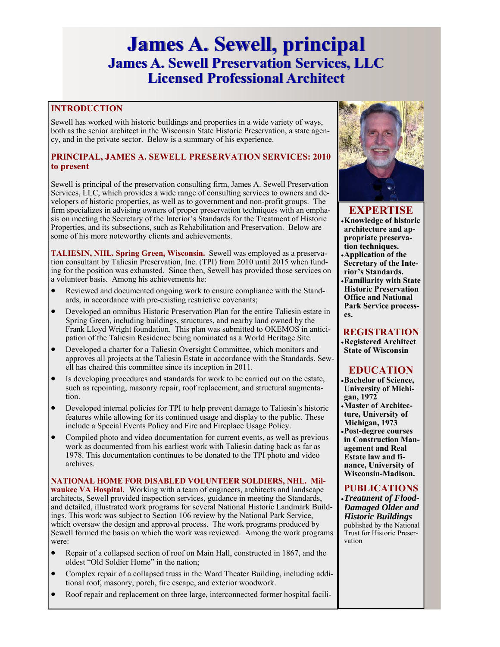# **James A. Sewell, principal James A. Sewell, principal James A. Sewell Preservation Services, LLC James A. Sewell Preservation Services, LLC Licensed Professional Architect Licensed Professional Architect**

## **INTRODUCTION**

Sewell has worked with historic buildings and properties in a wide variety of ways, both as the senior architect in the Wisconsin State Historic Preservation, a state agency, and in the private sector. Below is a summary of his experience.

### **PRINCIPAL, JAMES A. SEWELL PRESERVATION SERVICES: 2010 to present**

Sewell is principal of the preservation consulting firm, James A. Sewell Preservation Services, LLC, which provides a wide range of consulting services to owners and developers of historic properties, as well as to government and non-profit groups. The firm specializes in advising owners of proper preservation techniques with an emphasis on meeting the Secretary of the Interior's Standards for the Treatment of Historic Properties, and its subsections, such as Rehabilitation and Preservation. Below are some of his more noteworthy clients and achievements.

**TALIESIN, NHL. Spring Green, Wisconsin.** Sewell was employed as a preservation consultant by Taliesin Preservation, Inc. (TPI) from 2010 until 2015 when funding for the position was exhausted. Since then, Sewell has provided those services on a volunteer basis. Among his achievements he:

- Reviewed and documented ongoing work to ensure compliance with the Standards, in accordance with pre-existing restrictive covenants;
- Developed an omnibus Historic Preservation Plan for the entire Taliesin estate in Spring Green, including buildings, structures, and nearby land owned by the Frank Lloyd Wright foundation. This plan was submitted to OKEMOS in anticipation of the Taliesin Residence being nominated as a World Heritage Site.
- Developed a charter for a Taliesin Oversight Committee, which monitors and approves all projects at the Taliesin Estate in accordance with the Standards. Sewell has chaired this committee since its inception in 2011.
- Is developing procedures and standards for work to be carried out on the estate, such as repointing, masonry repair, roof replacement, and structural augmentation.
- Developed internal policies for TPI to help prevent damage to Taliesin's historic features while allowing for its continued usage and display to the public. These include a Special Events Policy and Fire and Fireplace Usage Policy.
- Compiled photo and video documentation for current events, as well as previous work as documented from his earliest work with Taliesin dating back as far as 1978. This documentation continues to be donated to the TPI photo and video archives.

**NATIONAL HOME FOR DISABLED VOLUNTEER SOLDIERS, NHL. Milwaukee VA Hospital.** Working with a team of engineers, architects and landscape architects, Sewell provided inspection services, guidance in meeting the Standards, and detailed, illustrated work programs for several National Historic Landmark Buildings. This work was subject to Section 106 review by the National Park Service, which oversaw the design and approval process. The work programs produced by Sewell formed the basis on which the work was reviewed. Among the work programs were:

- Repair of a collapsed section of roof on Main Hall, constructed in 1867, and the oldest "Old Soldier Home" in the nation;
- Complex repair of a collapsed truss in the Ward Theater Building, including additional roof, masonry, porch, fire escape, and exterior woodwork.
- Roof repair and replacement on three large, interconnected former hospital facili-



## **EXPERTISE**

- **Knowledge of historic architecture and appropriate preservation techniques.**
- **Application of the Secretary of the Interior's Standards.**
- **Familiarity with State Historic Preservation Office and National Park Service processes.**

## **REGISTRATION**

**Registered Architect State of Wisconsin** 

# **EDUCATION**

- **Bachelor of Science, University of Michigan, 1972**
- **Master of Architecture, University of Michigan, 1973 Post-degree courses in Construction Management and Real Estate law and finance, University of Wisconsin-Madison.**

## **PUBLICATIONS**

*Treatment of Flood-Damaged Older and Historic Buildings*  published by the National Trust for Historic Preservation